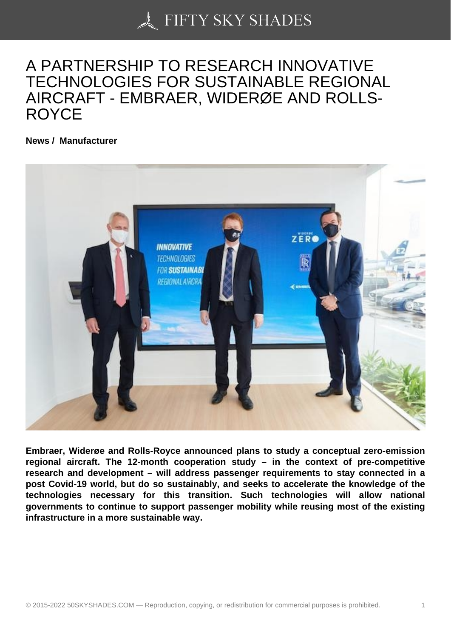## [A PARTNERSHIP TO](https://50skyshades.com) RESEARCH INNOVATIVE TECHNOLOGIES FOR SUSTAINABLE REGIONAL AIRCRAFT - EMBRAER, WIDERØE AND ROLLS-ROYCE

News / Manufacturer

Embraer, Widerøe and Rolls-Royce announced plans to study a conceptual zero-emission regional aircraft. The 12-month cooperation study – in the context of pre-competitive research and development – will address passenger requirements to stay connected in a post Covid-19 world, but do so sustainably, and seeks to accelerate the knowledge of the technologies necessary for this transition. Such technologies will allow national governments to continue to support passenger mobility while reusing most of the existing infrastructure in a more sustainable way.